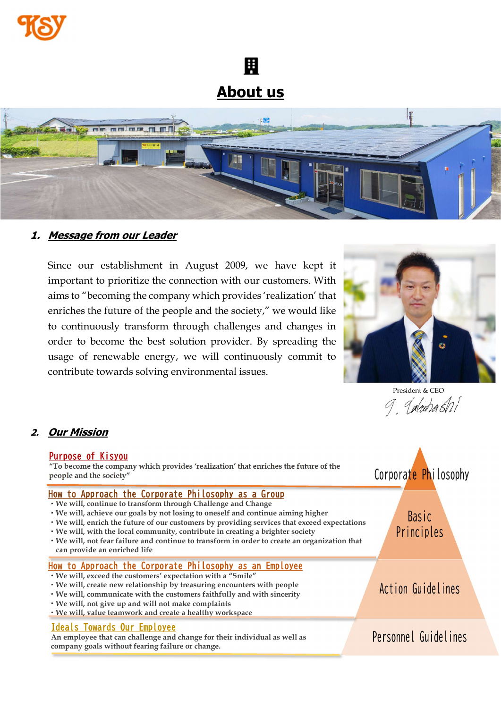

圚 About us



# 1. Message from our Leader

Since our establishment in August 2009, we have kept it important to prioritize the connection with our customers. With aims to "becoming the company which provides 'realization' that enriches the future of the people and the society," we would like to continuously transform through challenges and changes in order to become the best solution provider. By spreading the usage of renewable energy, we will continuously commit to contribute towards solving environmental issues.



President & CEO<br>9. *Jakuba SM* 

#### 2. Our Mission

| Purpose of Kisyou<br>"To become the company which provides 'realization' that enriches the future of the<br>people and the society"                                                                                                                                                                                                                                                                                                                                                                                         | Corporate Philosophy       |
|-----------------------------------------------------------------------------------------------------------------------------------------------------------------------------------------------------------------------------------------------------------------------------------------------------------------------------------------------------------------------------------------------------------------------------------------------------------------------------------------------------------------------------|----------------------------|
| How to Approach the Corporate Philosophy as a Group<br>· We will, continue to transform through Challenge and Change<br>• We will, achieve our goals by not losing to oneself and continue aiming higher<br>• We will, enrich the future of our customers by providing services that exceed expectations<br>. We will, with the local community, contribute in creating a brighter society<br>• We will, not fear failure and continue to transform in order to create an organization that<br>can provide an enriched life | <b>Basic</b><br>Principles |
| How to Approach the Corporate Philosophy as an Employee<br>· We will, exceed the customers' expectation with a "Smile"<br>. We will, create new relationship by treasuring encounters with people<br>• We will, communicate with the customers faithfully and with sincerity<br>• We will, not give up and will not make complaints<br>. We will, value teamwork and create a healthy workspace                                                                                                                             | Action Guidelines          |
| Ideals Towards Our Employee<br>An employee that can challenge and change for their individual as well as<br>company goals without fearing failure or change.                                                                                                                                                                                                                                                                                                                                                                | Personnel Guidelines       |